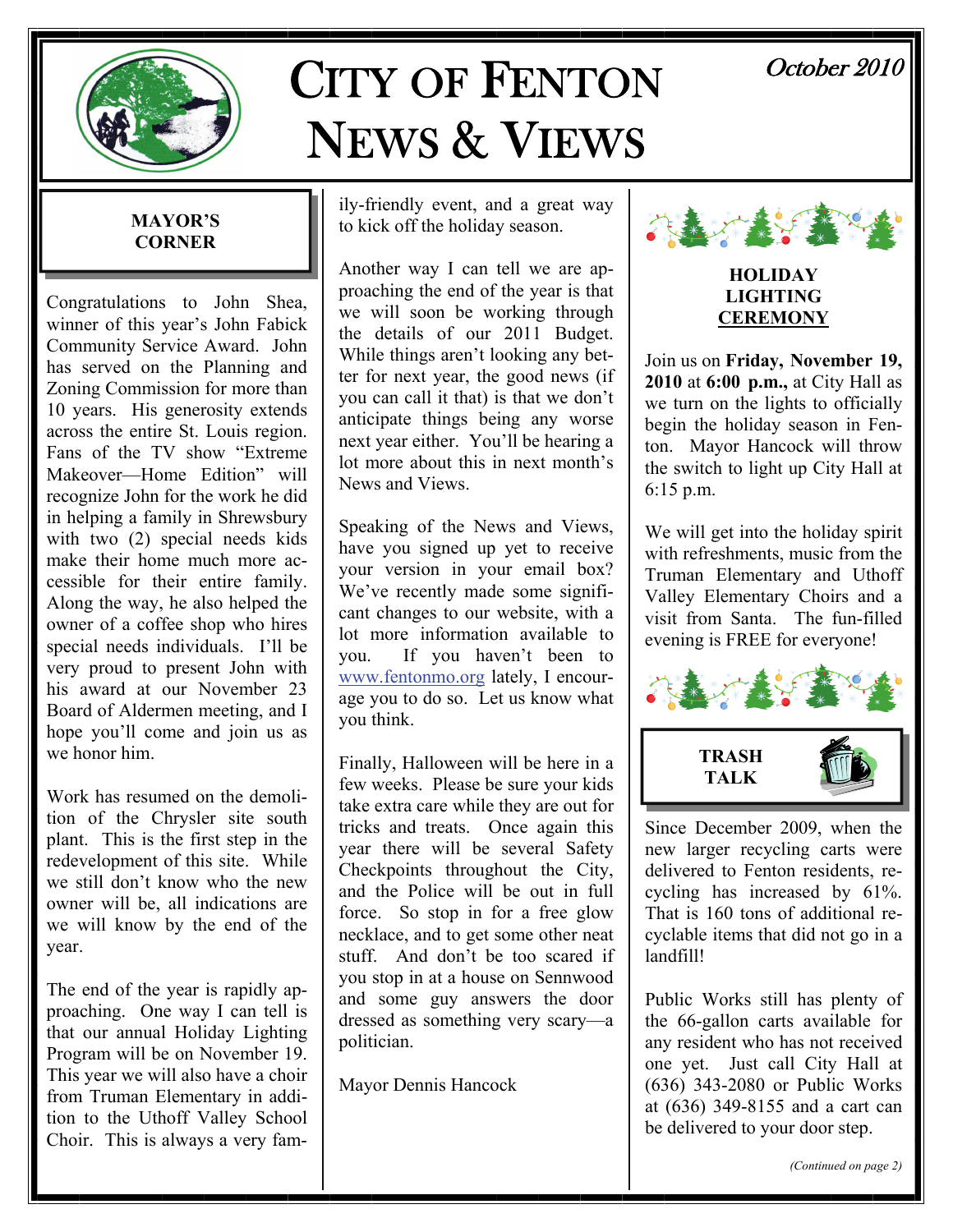

# CITY OF FENTON NEWS & VIEWS

# October 2010

### **MAYOR'S CORNER**

Congratulations to John Shea, winner of this year's John Fabick Community Service Award. John has served on the Planning and Zoning Commission for more than 10 years. His generosity extends across the entire St. Louis region. Fans of the TV show "Extreme Makeover—Home Edition" will recognize John for the work he did in helping a family in Shrewsbury with two (2) special needs kids make their home much more accessible for their entire family. Along the way, he also helped the owner of a coffee shop who hires special needs individuals. I'll be very proud to present John with his award at our November 23 Board of Aldermen meeting, and I hope you'll come and join us as we honor him.

Work has resumed on the demolition of the Chrysler site south plant. This is the first step in the redevelopment of this site. While we still don't know who the new owner will be, all indications are we will know by the end of the year.

The end of the year is rapidly approaching. One way I can tell is that our annual Holiday Lighting Program will be on November 19. This year we will also have a choir from Truman Elementary in addition to the Uthoff Valley School Choir. This is always a very family-friendly event, and a great way to kick off the holiday season.

Another way I can tell we are approaching the end of the year is that we will soon be working through the details of our 2011 Budget. While things aren't looking any better for next year, the good news (if you can call it that) is that we don't anticipate things being any worse next year either. You'll be hearing a lot more about this in next month's News and Views.

Speaking of the News and Views, have you signed up yet to receive your version in your email box? We've recently made some significant changes to our website, with a lot more information available to you. If you haven't been to [www.fentonmo.org](http://www.fentonmo.org) lately, I encourage you to do so. Let us know what you think.

Finally, Halloween will be here in a few weeks. Please be sure your kids take extra care while they are out for tricks and treats. Once again this year there will be several Safety Checkpoints throughout the City, and the Police will be out in full force. So stop in for a free glow necklace, and to get some other neat stuff. And don't be too scared if you stop in at a house on Sennwood and some guy answers the door dressed as something very scary—a politician.

Mayor Dennis Hancock



#### **HOLIDAY LIGHTING CEREMONY**

Join us on **Friday, November 19, 2010** at **6:00 p.m.,** at City Hall as we turn on the lights to officially begin the holiday season in Fenton. Mayor Hancock will throw the switch to light up City Hall at 6:15 p.m.

We will get into the holiday spirit with refreshments, music from the Truman Elementary and Uthoff Valley Elementary Choirs and a visit from Santa. The fun-filled evening is FREE for everyone!



Since December 2009, when the new larger recycling carts were delivered to Fenton residents, recycling has increased by 61%. That is 160 tons of additional recyclable items that did not go in a landfill!

Public Works still has plenty of the 66-gallon carts available for any resident who has not received one yet. Just call City Hall at (636) 343-2080 or Public Works at (636) 349-8155 and a cart can be delivered to your door step.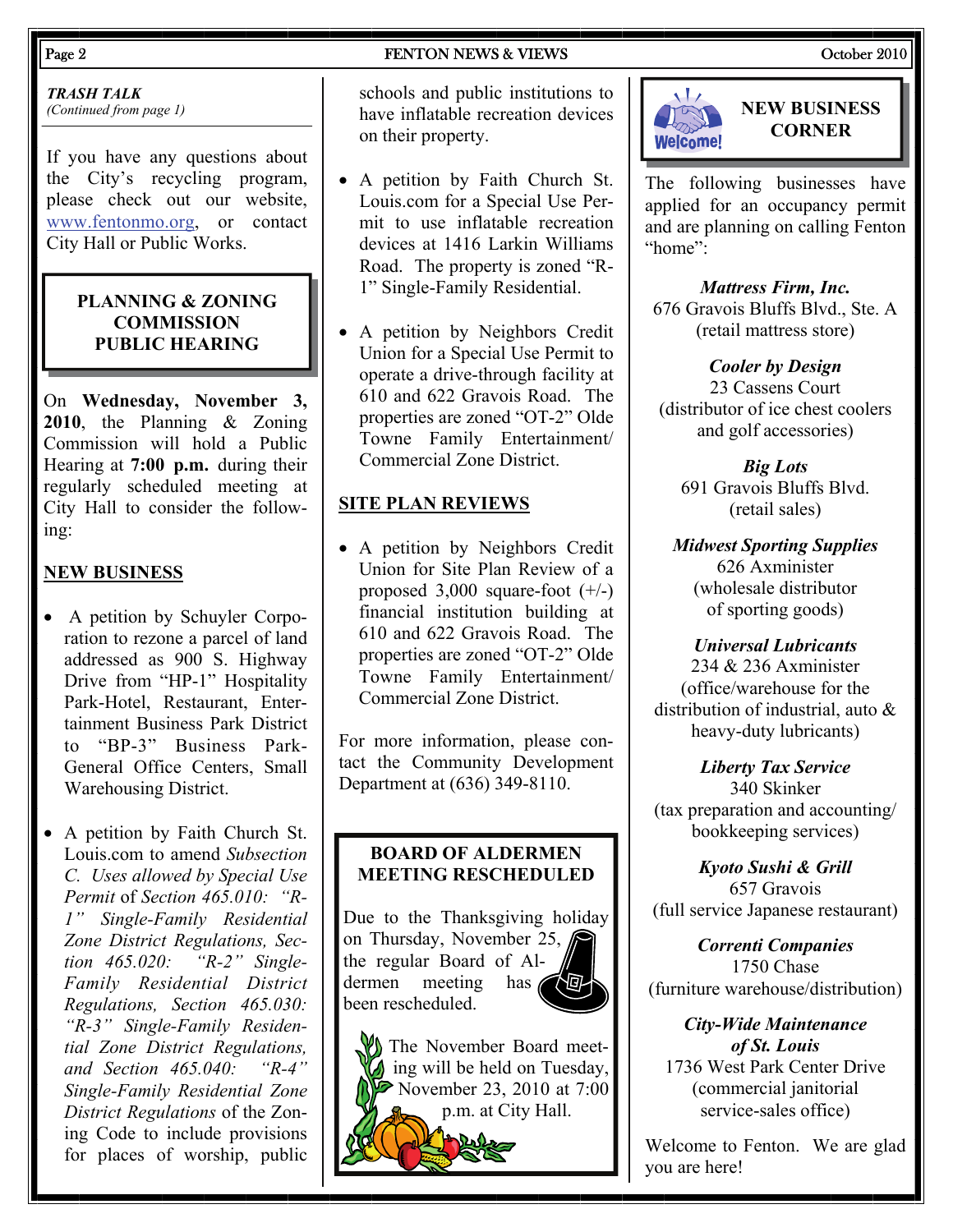*TRASH TALK (Continued from page 1)* 

If you have any questions about the City's recycling program, please check out our website, [www.fentonmo.org](http://www.fentonmo.org), or contact City Hall or Public Works.

### **PLANNING & ZONING COMMISSION PUBLIC HEARING**

On **Wednesday, November 3, 2010**, the Planning & Zoning Commission will hold a Public Hearing at **7:00 p.m.** during their regularly scheduled meeting at City Hall to consider the following:

# **NEW BUSINESS**

- A petition by Schuyler Corporation to rezone a parcel of land addressed as 900 S. Highway Drive from "HP-1" Hospitality Park-Hotel, Restaurant, Entertainment Business Park District to "BP-3" Business Park-General Office Centers, Small Warehousing District.
- A petition by Faith Church St. Louis.com to amend *Subsection C. Uses allowed by Special Use Permit* of *Section 465.010: "R-1" Single-Family Residential Zone District Regulations, Section 465.020: "R-2" Single-Family Residential District Regulations, Section 465.030: "R-3" Single-Family Residential Zone District Regulations, and Section 465.040: "R-4" Single-Family Residential Zone District Regulations* of the Zoning Code to include provisions for places of worship, public

schools and public institutions to have inflatable recreation devices on their property.

- A petition by Faith Church St. Louis.com for a Special Use Permit to use inflatable recreation devices at 1416 Larkin Williams Road. The property is zoned "R-1" Single-Family Residential.
- A petition by Neighbors Credit Union for a Special Use Permit to operate a drive-through facility at 610 and 622 Gravois Road. The properties are zoned "OT-2" Olde Towne Family Entertainment/ Commercial Zone District.

# **SITE PLAN REVIEWS**

• A petition by Neighbors Credit Union for Site Plan Review of a proposed  $3,000$  square-foot  $(+/-)$ financial institution building at 610 and 622 Gravois Road. The properties are zoned "OT-2" Olde Towne Family Entertainment/ Commercial Zone District.

For more information, please contact the Community Development Department at (636) 349-8110.

# **BOARD OF ALDERMEN MEETING RESCHEDULED**

Due to the Thanksgiving holiday on Thursday, November 25, the regular Board of Aldermen meeting has been rescheduled.

The November Board meeting will be held on Tuesday, November 23, 2010 at 7:00 p.m. at City Hall.





# **NEW BUSINESS CORNER**

The following businesses have applied for an occupancy permit and are planning on calling Fenton "home":

*Mattress Firm, Inc.*  676 Gravois Bluffs Blvd., Ste. A (retail mattress store)

*Cooler by Design*  23 Cassens Court (distributor of ice chest coolers and golf accessories)

*Big Lots*  691 Gravois Bluffs Blvd. (retail sales)

*Midwest Sporting Supplies*  626 Axminister (wholesale distributor of sporting goods)

*Universal Lubricants*  234 & 236 Axminister (office/warehouse for the distribution of industrial, auto & heavy-duty lubricants)

*Liberty Tax Service*  340 Skinker (tax preparation and accounting/ bookkeeping services)

*Kyoto Sushi & Grill*  657 Gravois (full service Japanese restaurant)

*Correnti Companies*  1750 Chase (furniture warehouse/distribution)

*City-Wide Maintenance of St. Louis*  1736 West Park Center Drive (commercial janitorial service-sales office)

Welcome to Fenton. We are glad you are here!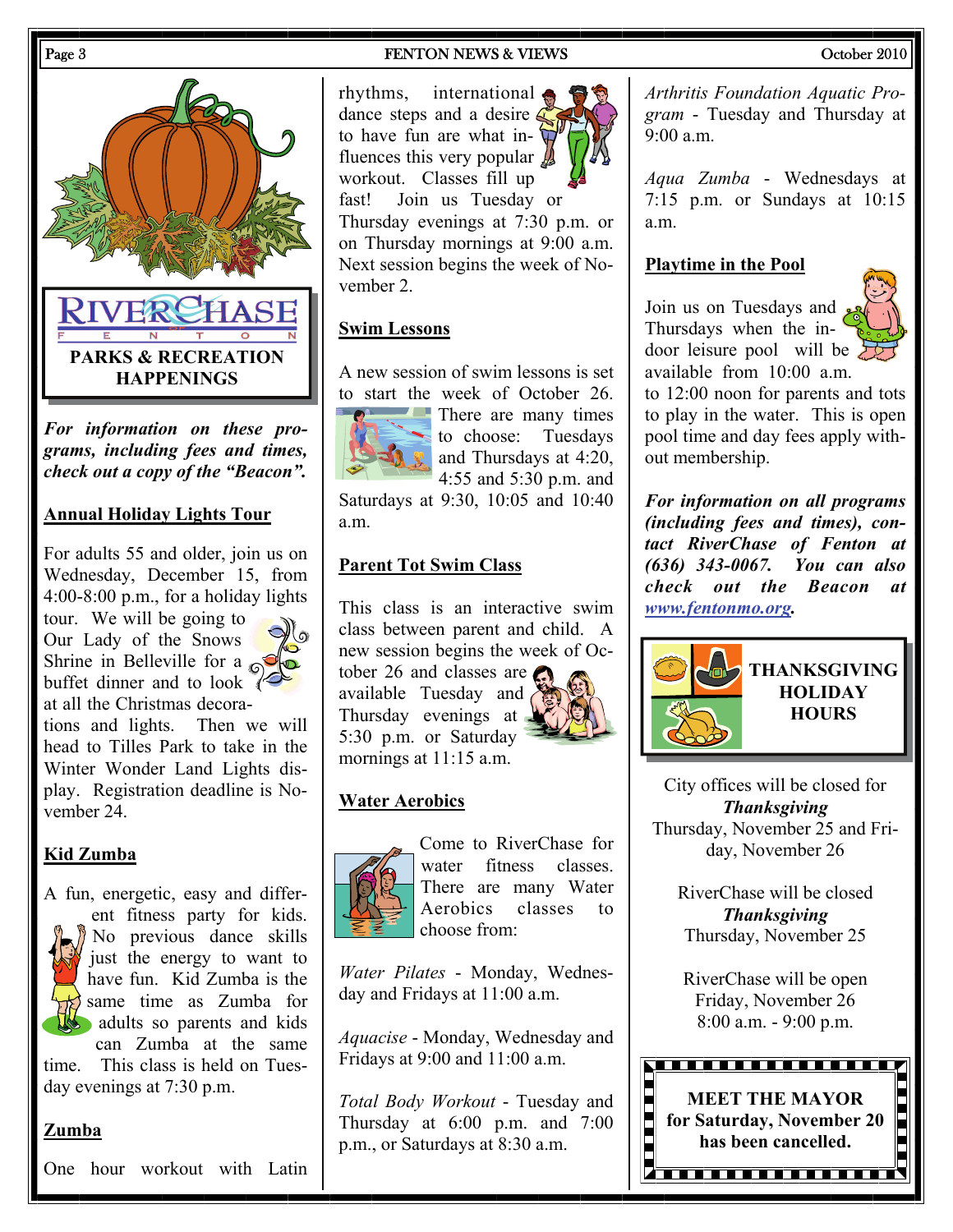

*For information on these programs, including fees and times, check out a copy of the "Beacon".* 

### **Annual Holiday Lights Tour**

For adults 55 and older, join us on Wednesday, December 15, from 4:00-8:00 p.m., for a holiday lights tour. We will be going to

Our Lady of the Snows Shrine in Belleville for a  $\otimes$ buffet dinner and to look  $\sqrt[3]{\leftarrow}$ at all the Christmas decora-

tions and lights. Then we will head to Tilles Park to take in the Winter Wonder Land Lights display. Registration deadline is November 24.

### **Kid Zumba**



time. This class is held on Tuesday evenings at 7:30 p.m.

#### **Zumba**

One hour workout with Latin

#### Page 3 **FENTON NEWS & VIEWS FENTON NEWS Page 3** October 2010

rhythms, international dance steps and a desire  $\leq$ to have fun are what influences this very popular  $\mathcal{L}$ workout. Classes fill up fast! Join us Tuesday or Thursday evenings at 7:30 p.m. or on Thursday mornings at 9:00 a.m. Next session begins the week of November 2.

### **Swim Lessons**

A new session of swim lessons is set to start the week of October 26.



**There** are many times to choose: Tuesdays and Thursdays at 4:20, 4:55 and 5:30 p.m. and

Saturdays at 9:30, 10:05 and 10:40 a.m.

### **Parent Tot Swim Class**

This class is an interactive swim class between parent and child. A new session begins the week of October 26 and classes are available Tuesday and Thursday evenings at 5:30 p.m. or Saturday mornings at 11:15 a.m.

#### **Water Aerobics**



Come to RiverChase for water fitness classes. There are many Water Aerobics classes to choose from:

*Water Pilates* - Monday, Wednesday and Fridays at 11:00 a.m.

*Aquacise* - Monday, Wednesday and Fridays at 9:00 and 11:00 a.m.

*Total Body Workout* - Tuesday and Thursday at 6:00 p.m. and 7:00 p.m., or Saturdays at 8:30 a.m.

*Arthritis Foundation Aquatic Program* - Tuesday and Thursday at  $9.00 a m$ 

*Aqua Zumba* - Wednesdays at 7:15 p.m. or Sundays at 10:15 a.m.

#### **Playtime in the Pool**

Join us on Tuesdays and Thursdays when the indoor leisure pool will be available from 10:00 a.m.



to 12:00 noon for parents and tots to play in the water. This is open pool time and day fees apply without membership.

*For information on all programs (including fees and times), contact RiverChase of Fenton at (636) 343-0067. You can also check out the Beacon at [www.fentonmo.org](http://www.fentonmo.org/).*



City offices will be closed for *Thanksgiving*  Thursday, November 25 and Friday, November 26

RiverChase will be closed *Thanksgiving*  Thursday, November 25

RiverChase will be open Friday, November 26 8:00 a.m. - 9:00 p.m.

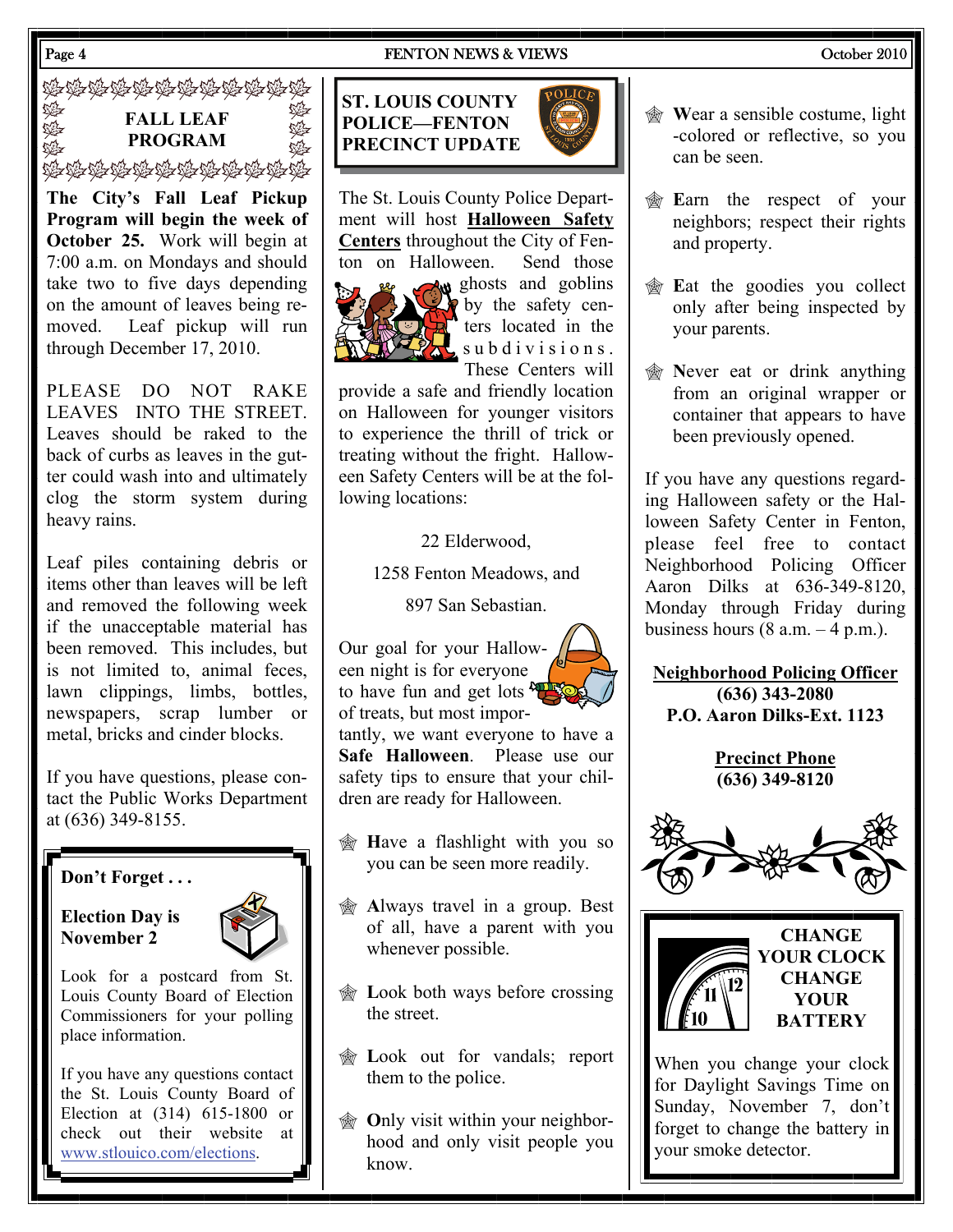#### Page 4 **FENTON NEWS & VIEWS** Corober 2010

经资源资源资源资源资源资格

缝 **FALL LEAF SEP PROGRAM**  ú.<br>Dé≠ 海海海海海海海海海海海海

**The City's Fall Leaf Pickup Program will begin the week of October 25.** Work will begin at 7:00 a.m. on Mondays and should take two to five days depending on the amount of leaves being removed. Leaf pickup will run through December 17, 2010.

PLEASE DO NOT RAKE LEAVES INTO THE STREET. Leaves should be raked to the back of curbs as leaves in the gutter could wash into and ultimately clog the storm system during heavy rains.

Leaf piles containing debris or items other than leaves will be left and removed the following week if the unacceptable material has been removed. This includes, but is not limited to, animal feces, lawn clippings, limbs, bottles, newspapers, scrap lumber or metal, bricks and cinder blocks.

If you have questions, please contact the Public Works Department at (636) 349-8155.

# **Don't Forget . . .**

### **Election Day is November 2**



Look for a postcard from St. Louis County Board of Election Commissioners for your polling place information.

If you have any questions contact the St. Louis County Board of Election at (314) 615-1800 or check out their website at [www.stlouico.com/elections](http://www.stlouisco.com/elections).



The St. Louis County Police Department will host **Halloween Safety Centers** throughout the City of Fenton on Halloween. Send those



 $\sim$  ghosts and goblins by the safety centers located in the subdivisions. These Centers will

provide a safe and friendly location on Halloween for younger visitors to experience the thrill of trick or treating without the fright. Halloween Safety Centers will be at the following locations:

22 Elderwood,

1258 Fenton Meadows, and

897 San Sebastian.

Our goal for your Halloween night is for everyone to have fun and get lots  $\frac{1}{2}$ of treats, but most impor-

tantly, we want everyone to have a **Safe Halloween**. Please use our safety tips to ensure that your children are ready for Halloween.

- **H**ave a flashlight with you so you can be seen more readily.
- **Always travel in a group. Best** of all, have a parent with you whenever possible.
- **EXECUTE:** Look both ways before crossing the street.
- **Executed** Look out for vandals; report them to the police.
- *<u>M</u>* Only visit within your neighborhood and only visit people you know.
- **Wear a sensible costume, light** -colored or reflective, so you can be seen.
- **E**arn the respect of your neighbors; respect their rights and property.
- **E**at the goodies you collect only after being inspected by your parents.
- *M* Never eat or drink anything from an original wrapper or container that appears to have been previously opened.

If you have any questions regarding Halloween safety or the Halloween Safety Center in Fenton, please feel free to contact Neighborhood Policing Officer Aaron Dilks at 636-349-8120, Monday through Friday during business hours  $(8 a.m. - 4 p.m.).$ 

**Neighborhood Policing Officer (636) 343-2080 P.O. Aaron Dilks-Ext. 1123** 

> **Precinct Phone (636) 349-8120**





**CHANGE YOUR CLOCK CHANGE YOUR BATTERY** 

When you change your clock for Daylight Savings Time on Sunday, November 7, don't forget to change the battery in your smoke detector.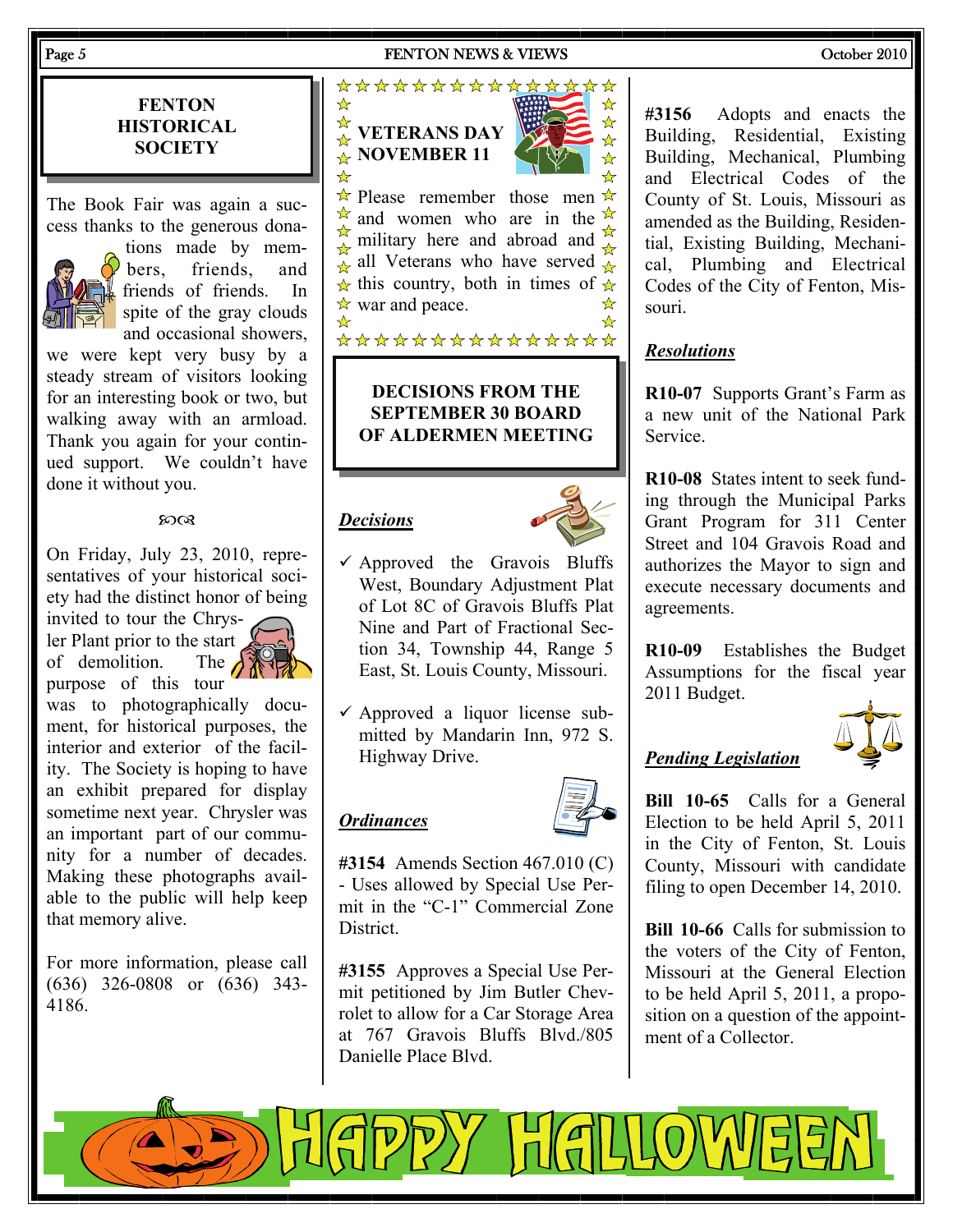#### Page 5 September 2010 **FENTON NEWS & VIEWS** September 2010

**FENTON HISTORICAL SOCIETY** 

The Book Fair was again a success thanks to the generous dona-



tions made by members, friends, and friends of friends. In spite of the gray clouds and occasional showers,

we were kept very busy by a steady stream of visitors looking for an interesting book or two, but walking away with an armload. Thank you again for your continued support. We couldn't have done it without you.

#### $20Q$

On Friday, July 23, 2010, representatives of your historical society had the distinct honor of being

invited to tour the Chrysler Plant prior to the start of demolition. The  $\bigcap_{k=0}^{\infty}$ of demolition purpose of this tour



was to photographically document, for historical purposes, the interior and exterior of the facility. The Society is hoping to have an exhibit prepared for display sometime next year. Chrysler was an important part of our community for a number of decades. Making these photographs available to the public will help keep that memory alive.

For more information, please call (636) 326-0808 or (636) 343- 4186.



#### **DECISIONS FROM THE SEPTEMBER 30 BOARD OF ALDERMEN MEETING**

#### *Decisions*



- $\checkmark$  Approved the Gravois Bluffs West, Boundary Adjustment Plat of Lot 8C of Gravois Bluffs Plat Nine and Part of Fractional Section 34, Township 44, Range 5 East, St. Louis County, Missouri.
- $\checkmark$  Approved a liquor license submitted by Mandarin Inn, 972 S. Highway Drive.

#### *Ordinances*



**#3154** Amends Section 467.010 (C) - Uses allowed by Special Use Permit in the "C-1" Commercial Zone District.

**#3155** Approves a Special Use Permit petitioned by Jim Butler Chevrolet to allow for a Car Storage Area at 767 Gravois Bluffs Blvd./805 Danielle Place Blvd.

 $\mathbb{P}$ ) $\sqrt{\frac{1}{10}}$ 

**#3156** Adopts and enacts the Building, Residential, Existing Building, Mechanical, Plumbing and Electrical Codes of the County of St. Louis, Missouri as amended as the Building, Residential, Existing Building, Mechanical, Plumbing and Electrical Codes of the City of Fenton, Missouri.

# *Resolutions*

**R10-07** Supports Grant's Farm as a new unit of the National Park Service.

**R10-08** States intent to seek funding through the Municipal Parks Grant Program for 311 Center Street and 104 Gravois Road and authorizes the Mayor to sign and execute necessary documents and agreements.

**R10-09** Establishes the Budget Assumptions for the fiscal year 2011 Budget.



# *Pending Legislation*

**Bill 10-65** Calls for a General Election to be held April 5, 2011 in the City of Fenton, St. Louis County, Missouri with candidate filing to open December 14, 2010.

**Bill 10-66** Calls for submission to the voters of the City of Fenton, Missouri at the General Election to be held April 5, 2011, a proposition on a question of the appointment of a Collector.